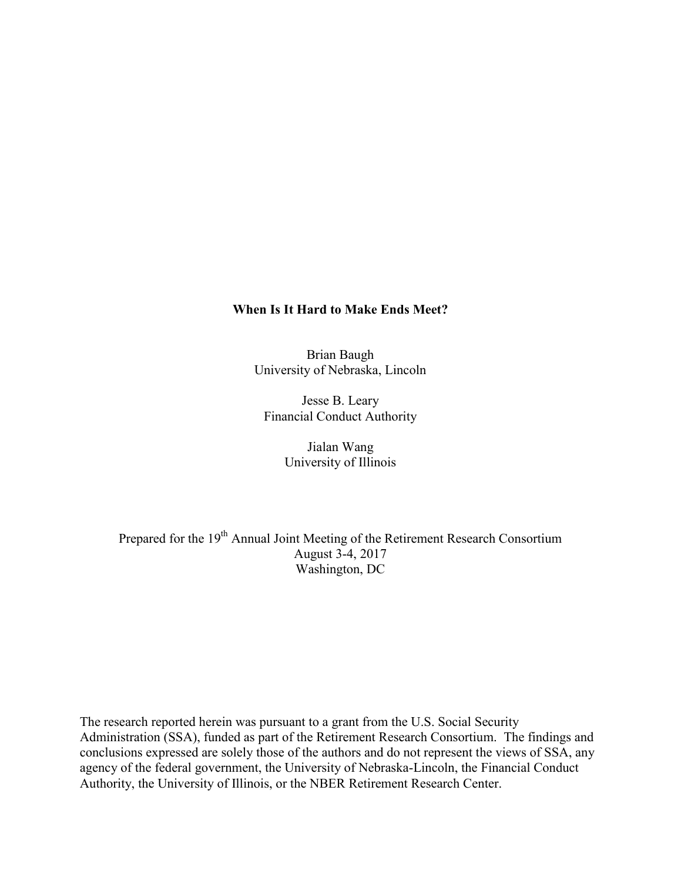## **When Is It Hard to Make Ends Meet?**

Brian Baugh University of Nebraska, Lincoln

Jesse B. Leary Financial Conduct Authority

> Jialan Wang University of Illinois

Prepared for the 19<sup>th</sup> Annual Joint Meeting of the Retirement Research Consortium August 3-4, 2017 Washington, DC

The research reported herein was pursuant to a grant from the U.S. Social Security Administration (SSA), funded as part of the Retirement Research Consortium. The findings and conclusions expressed are solely those of the authors and do not represent the views of SSA, any agency of the federal government, the University of Nebraska-Lincoln, the Financial Conduct Authority, the University of Illinois, or the NBER Retirement Research Center.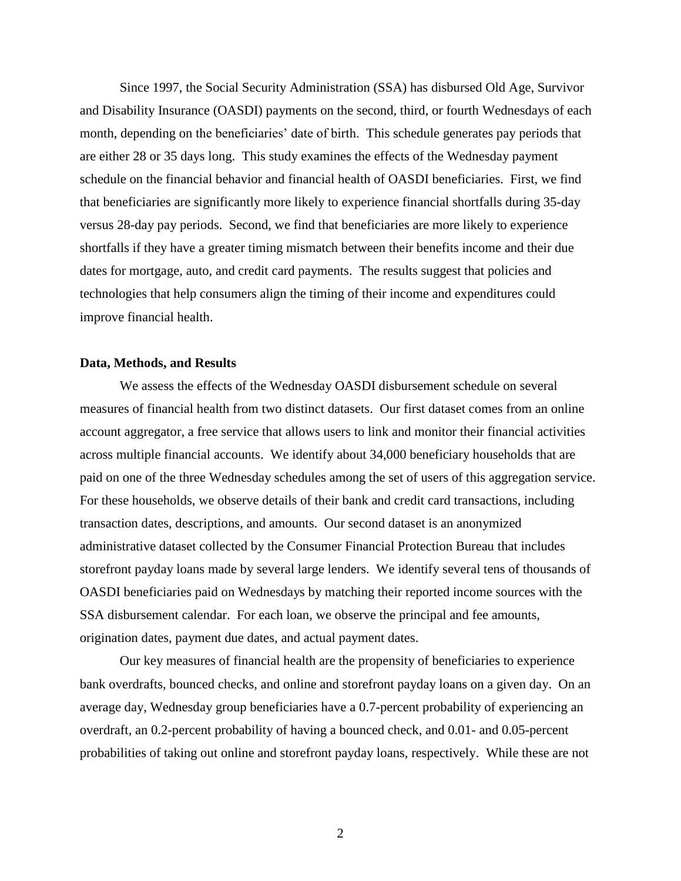Since 1997, the Social Security Administration (SSA) has disbursed Old Age, Survivor and Disability Insurance (OASDI) payments on the second, third, or fourth Wednesdays of each month, depending on the beneficiaries' date of birth. This schedule generates pay periods that are either 28 or 35 days long. This study examines the effects of the Wednesday payment schedule on the financial behavior and financial health of OASDI beneficiaries. First, we find that beneficiaries are significantly more likely to experience financial shortfalls during 35-day versus 28-day pay periods. Second, we find that beneficiaries are more likely to experience shortfalls if they have a greater timing mismatch between their benefits income and their due dates for mortgage, auto, and credit card payments. The results suggest that policies and technologies that help consumers align the timing of their income and expenditures could improve financial health.

## **Data, Methods, and Results**

We assess the effects of the Wednesday OASDI disbursement schedule on several measures of financial health from two distinct datasets. Our first dataset comes from an online account aggregator, a free service that allows users to link and monitor their financial activities across multiple financial accounts. We identify about 34,000 beneficiary households that are paid on one of the three Wednesday schedules among the set of users of this aggregation service. For these households, we observe details of their bank and credit card transactions, including transaction dates, descriptions, and amounts. Our second dataset is an anonymized administrative dataset collected by the Consumer Financial Protection Bureau that includes storefront payday loans made by several large lenders. We identify several tens of thousands of OASDI beneficiaries paid on Wednesdays by matching their reported income sources with the SSA disbursement calendar. For each loan, we observe the principal and fee amounts, origination dates, payment due dates, and actual payment dates.

Our key measures of financial health are the propensity of beneficiaries to experience bank overdrafts, bounced checks, and online and storefront payday loans on a given day. On an average day, Wednesday group beneficiaries have a 0.7-percent probability of experiencing an overdraft, an 0.2-percent probability of having a bounced check, and 0.01- and 0.05-percent probabilities of taking out online and storefront payday loans, respectively. While these are not

2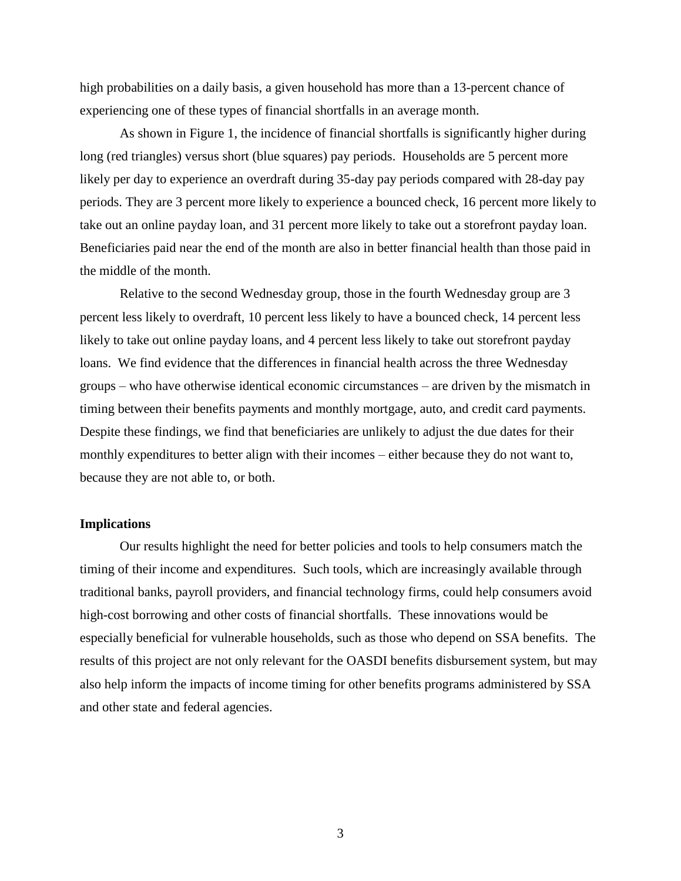high probabilities on a daily basis, a given household has more than a 13-percent chance of experiencing one of these types of financial shortfalls in an average month.

As shown in Figure 1, the incidence of financial shortfalls is significantly higher during long (red triangles) versus short (blue squares) pay periods. Households are 5 percent more likely per day to experience an overdraft during 35-day pay periods compared with 28-day pay periods. They are 3 percent more likely to experience a bounced check, 16 percent more likely to take out an online payday loan, and 31 percent more likely to take out a storefront payday loan. Beneficiaries paid near the end of the month are also in better financial health than those paid in the middle of the month.

Relative to the second Wednesday group, those in the fourth Wednesday group are 3 percent less likely to overdraft, 10 percent less likely to have a bounced check, 14 percent less likely to take out online payday loans, and 4 percent less likely to take out storefront payday loans. We find evidence that the differences in financial health across the three Wednesday groups – who have otherwise identical economic circumstances – are driven by the mismatch in timing between their benefits payments and monthly mortgage, auto, and credit card payments. Despite these findings, we find that beneficiaries are unlikely to adjust the due dates for their monthly expenditures to better align with their incomes – either because they do not want to, because they are not able to, or both.

## **Implications**

Our results highlight the need for better policies and tools to help consumers match the timing of their income and expenditures. Such tools, which are increasingly available through traditional banks, payroll providers, and financial technology firms, could help consumers avoid high-cost borrowing and other costs of financial shortfalls. These innovations would be especially beneficial for vulnerable households, such as those who depend on SSA benefits. The results of this project are not only relevant for the OASDI benefits disbursement system, but may also help inform the impacts of income timing for other benefits programs administered by SSA and other state and federal agencies.

3